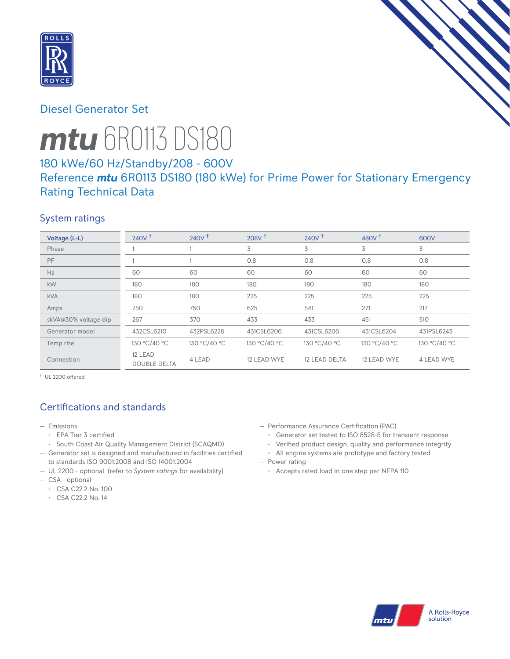

# Diesel Generator Set



# *mtu* 6R0113 DS180

# 180 kWe/60 Hz/Standby/208 - 600V

# Reference *mtu* 6R0113 DS180 (180 kWe) for Prime Power for Stationary Emergency Rating Technical Data

## System ratings

| Voltage (L-L)        | 240V <sup>†</sup>              | $240V$ <sup>+</sup> | 208V <sup>†</sup> | 240V <sup>†</sup> | 480 $V†$     | 600V              |
|----------------------|--------------------------------|---------------------|-------------------|-------------------|--------------|-------------------|
| Phase                |                                |                     | 3                 | 3                 | 3            | 3                 |
| PF                   |                                |                     | 0.8               | 0.8               | 0.8          | 0.8               |
| Hz                   | 60                             | 60                  | 60                | 60                | 60           | 60                |
| kW                   | 180                            | 180                 | 180               | 180               | 180          | 180               |
| <b>kVA</b>           | 180                            | 180                 | 225               | 225               | 225          | 225               |
| Amps                 | 750                            | 750                 | 625               | 541               | 271          | 217               |
| skVA@30% voltage dip | 267                            | 370                 | 433               | 433               | 451          | 510               |
| Generator model      | 432CSL6210                     | 432PSL6228          | 431CSL6206        | 431CSL6206        | 431CSL6204   | 431PSL6243        |
| Temp rise            | 130 °C/40 °C                   | 130 °C/40 °C        | 130 °C/40 °C      | 130 °C/40 °C      | 130 °C/40 °C | 130 °C/40 °C      |
| Connection           | 12 LEAD<br><b>DOUBLE DELTA</b> | 4 LEAD              | 12 LEAD WYE       | 12 LEAD DELTA     | 12 LEAD WYE  | <b>4 LEAD WYE</b> |

† UL 2200 offered

# Certifications and standards

- Emissions
	- EPA Tier 3 certified
	- South Coast Air Quality Management District (SCAQMD)
- Generator set is designed and manufactured in facilities certified to standards ISO 9001:2008 and ISO 14001:2004
- UL 2200 optional (refer to *System ratings* for availability)
- CSA optional
	- CSA C22.2 No. 100
	- CSA C22.2 No. 14
- Performance Assurance Certification (PAC)
	- Generator set tested to ISO 8528-5 for transient response
	- Verified product design, quality and performance integrity
- All engine systems are prototype and factory tested — Power rating
	- Accepts rated load in one step per NFPA 110

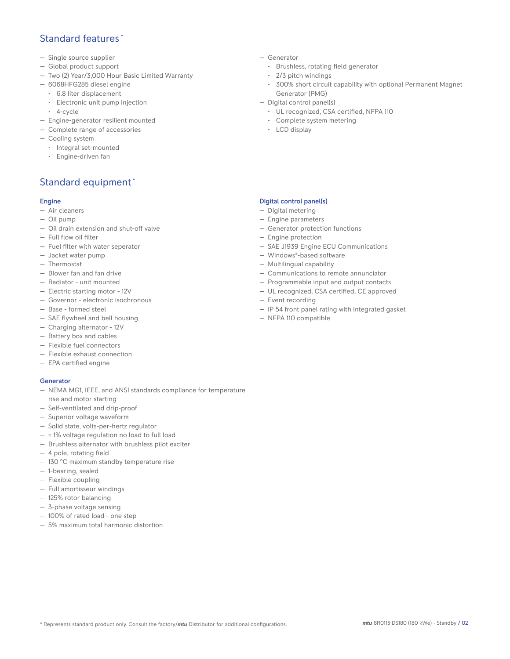## Standard features<sup>\*</sup>

- Single source supplier
- Global product support
- Two (2) Year/3,000 Hour Basic Limited Warranty
- 6068HFG285 diesel engine
	- 6.8 liter displacement
	- Electronic unit pump injection
	- 4-cycle
- Engine-generator resilient mounted
- Complete range of accessories
- Cooling system
- Integral set-mounted
- Engine-driven fan

# Standard equipment \*

## Engine

- Air cleaners
- Oil pump
- Oil drain extension and shut-off valve
- Full flow oil filter
- Fuel filter with water seperator
- Jacket water pump
- Thermostat
- Blower fan and fan drive
- Radiator unit mounted
- Electric starting motor 12V
- Governor electronic isochronous
- Base formed steel
- SAE flywheel and bell housing
- Charging alternator 12V
- Battery box and cables
- Flexible fuel connectors
- Flexible exhaust connection
- EPA certified engine

## **Generator**

- NEMA MG1, IEEE, and ANSI standards compliance for temperature rise and motor starting
- Self-ventilated and drip-proof
- Superior voltage waveform
- Solid state, volts-per-hertz regulator
- $-$  ± 1% voltage regulation no load to full load
- Brushless alternator with brushless pilot exciter
- 4 pole, rotating field
- 130 °C maximum standby temperature rise
- 1-bearing, sealed
- Flexible coupling
- Full amortisseur windings
- 125% rotor balancing
- 3-phase voltage sensing
- 100% of rated load one step
- 5% maximum total harmonic distortion
- Generator
	- Brushless, rotating field generator
	- 2/3 pitch windings
	- 300% short circuit capability with optional Permanent Magnet Generator (PMG)
- Digital control panel(s)
	- UL recognized, CSA certified, NFPA 110
	- Complete system metering
	- LCD display

## Digital control panel(s)

- Digital metering
- Engine parameters
- Generator protection functions
- Engine protection
- SAE J1939 Engine ECU Communications
- Windows®-based software
- Multilingual capability
- Communications to remote annunciator
- Programmable input and output contacts
- UL recognized, CSA certified, CE approved
- Event recording
- IP 54 front panel rating with integrated gasket
- NFPA 110 compatible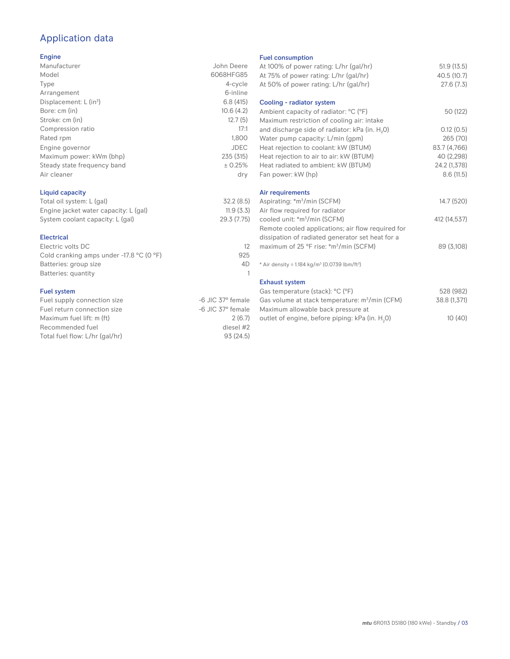# Application data

#### Engine

| Manufacturer                         | John Deere  |
|--------------------------------------|-------------|
| Model                                | 6068HFG85   |
| Type                                 | 4-cycle     |
| Arrangement                          | 6-inline    |
| Displacement: $L$ (in <sup>3</sup> ) | 6.8(415)    |
| Bore: cm (in)                        | 10.6(4.2)   |
| Stroke: cm (in)                      | 12.7(5)     |
| Compression ratio                    | 17:1        |
| Rated rpm                            | 1,800       |
| Engine governor                      | <b>JDEC</b> |
| Maximum power: kWm (bhp)             | 235 (315)   |
| Steady state frequency band          | ± 0.25%     |
| Air cleaner                          | dry         |
|                                      |             |

## Liquid capacity

| Total oil system: L (gal)             | 32.2(8.5)   |
|---------------------------------------|-------------|
| Engine jacket water capacity: L (gal) | 11.9(3.3)   |
| System coolant capacity: L (gal)      | 29.3 (7.75) |

#### Electrical

| Electric volts DC                                            | 12  |
|--------------------------------------------------------------|-----|
| Cold cranking amps under -17.8 $^{\circ}$ C (O $^{\circ}$ F) | 925 |
| Batteries: group size                                        | 4D  |
| Batteries: quantity                                          |     |
|                                                              |     |

## Fuel system

| Fuel supply connection size    | -6 JIC 37° female |
|--------------------------------|-------------------|
| Fuel return connection size    | -6 JIC 37° female |
| Maximum fuel lift: m (ft)      | 2(6.7)            |
| Recommended fuel               | diesel #2         |
| Total fuel flow: L/hr (gal/hr) | 93(24.5)          |
|                                |                   |

#### Fuel consumption

| At 100% of power rating: L/hr (gal/hr)<br>At 75% of power rating: L/hr (gal/hr)<br>At 50% of power rating: L/hr (gal/hr) | 51.9(13.5)<br>40.5 (10.7)<br>27.6(7.3) |
|--------------------------------------------------------------------------------------------------------------------------|----------------------------------------|
| Cooling - radiator system                                                                                                |                                        |
| Ambient capacity of radiator: °C (°F)<br>Maximum restriction of cooling air: intake                                      | 50 (122)                               |
| and discharge side of radiator: kPa (in. H <sub>2</sub> 0)                                                               | 0.12(0.5)                              |
| Water pump capacity: L/min (gpm)                                                                                         | 265 (70)                               |
| Heat rejection to coolant: kW (BTUM)                                                                                     | 83.7 (4,766)                           |
| Heat rejection to air to air: kW (BTUM)                                                                                  | 40 (2,298)                             |
| Heat radiated to ambient: kW (BTUM)                                                                                      | 24.2 (1,378)                           |
| Fan power: kW (hp)                                                                                                       | 8.6(11.5)                              |
| Air requirements                                                                                                         |                                        |
| Aspirating: *m <sup>3</sup> /min (SCFM)                                                                                  | 14.7 (520)                             |
| Air flow required for radiator                                                                                           |                                        |
| cooled unit: *m <sup>3</sup> /min (SCFM)                                                                                 | 412 (14,537)                           |
| Remote cooled applications; air flow required for                                                                        |                                        |
| dissipation of radiated generator set heat for a                                                                         |                                        |
| maximum of 25 °F rise: *m <sup>3</sup> /min (SCFM)                                                                       | 89 (3,108)                             |
|                                                                                                                          |                                        |
| * Air density = $1.184 \text{ kg/m}^3$ (0.0739 lbm/ft <sup>3</sup> )                                                     |                                        |
| <b>Exhaust system</b>                                                                                                    |                                        |
| Gas temperature (stack): °C (°F)                                                                                         | 528 (982)                              |
| Gas volume at stack temperature: m <sup>3</sup> /min (CFM)                                                               | 38.8 (1,371)                           |
| Maximum allowable back pressure at                                                                                       |                                        |
| outlet of engine, before piping: kPa (in. H <sub>2</sub> 0)                                                              | 10(40)                                 |
|                                                                                                                          |                                        |